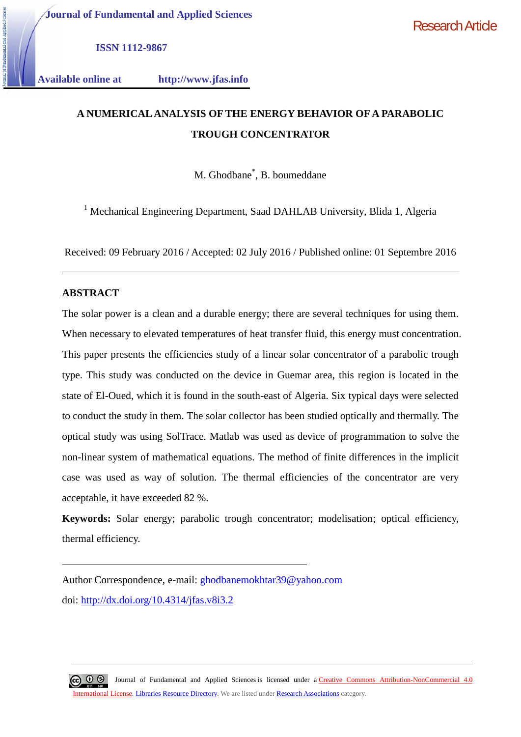**Journal of Fundamental and Applied Sciences**

Research Article

**ISSN 1112-9867**

**Available online at http://www.jfas.info**

# **A NUMERICAL ANALYSIS OF THE ENERGY BEHAVIOR OF A PARABOLIC TROUGH CONCENTRATOR**

M. Ghodbane\* , B. boumeddane

<sup>1</sup> Mechanical Engineering Department, Saad DAHLAB University, Blida 1, Algeria

Received: 09 February 2016 / Accepted: 02 July 2016 / Published online: 01 Septembre 2016

# **ABSTRACT**

The solar power is a clean and a durable energy; there are several techniques for using them. When necessary to elevated temperatures of heat transfer fluid, this energy must concentration. This paper presents the efficiencies study of a linear solar concentrator of a parabolic trough type. This study was conducted on the device in Guemar area, this region is located in the state of El-Oued, which it is found in the south-east of Algeria. Six typical days were selected to conduct the study in them. The solar collector has been studied optically and thermally. The optical study was using SolTrace. Matlab was used as device of programmation to solve the non-linear system of mathematical equations. The method of finite differences in the implicit case was used as way of solution. The thermal efficiencies of the concentrator are very acceptable, it have exceeded 82 %.

**Keywords:** Solar energy; parabolic trough concentrator; modelisation; optical efficiency, thermal efficiency.

Author Correspondence, e-mail: ghodbanemokhtar39@yahoo.com doi: http://dx.doi.org/10.4314/jfas.v8i3.2

 $\circledcirc$   $\circledcirc$ Journal of Fundamental and Applied Sciences is licensed under a Creative Commons Attribution-NonCommercial 4.0 International License. Libraries Resource Directory. We are listed under Research Associations category.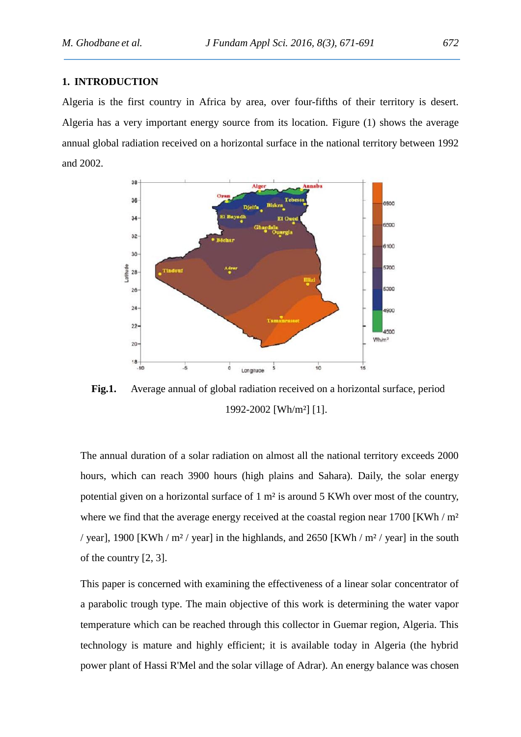## **1. INTRODUCTION**

Algeria is the first country in Africa by area, over four-fifths of their territory is desert. Algeria has a very important energy source from its location. Figure (1) shows the average annual global radiation received on a horizontal surface in the national territory between 1992 and 2002.



**Fig.1.** Average annual of global radiation received on a horizontal surface, period 1992-2002 [Wh/m²] [1].

The annual duration of a solar radiation on almost all the national territory exceeds 2000 hours, which can reach 3900 hours (high plains and Sahara). Daily, the solar energy potential given on a horizontal surface of 1 m² is around 5 KWh over most of the country, where we find that the average energy received at the coastal region near  $1700$  [KWh / m<sup>2</sup> / year], 1900 [KWh /  $m<sup>2</sup>$  / year] in the highlands, and 2650 [KWh /  $m<sup>2</sup>$  / year] in the south of the country [2, 3].

This paper is concerned with examining the effectiveness of a linear solar concentrator of a parabolic trough type. The main objective of this work is determining the water vapor temperature which can be reached through this collector in Guemar region, Algeria. This technology is mature and highly efficient; it is available today in Algeria (the hybrid power plant of Hassi R'Mel and the solar village of Adrar). An energy balance was chosen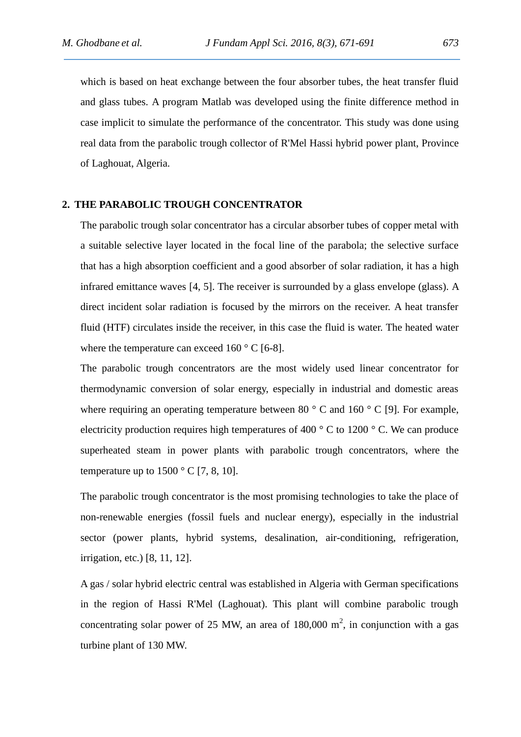which is based on heat exchange between the four absorber tubes, the heat transfer fluid and glass tubes. A program Matlab was developed using the finite difference method in case implicit to simulate the performance of the concentrator. This study was done using real data from the parabolic trough collector of R'Mel Hassi hybrid power plant, Province of Laghouat, Algeria.

## **2. THE PARABOLIC TROUGH CONCENTRATOR**

The parabolic trough solar concentrator has a circular absorber tubes of copper metal with a suitable selective layer located in the focal line of the parabola; the selective surface that has a high absorption coefficient and a good absorber of solar radiation, it has a high infrared emittance waves [4, 5]. The receiver is surrounded by a glass envelope (glass). A direct incident solar radiation is focused by the mirrors on the receiver. A heat transfer fluid (HTF) circulates inside the receiver, in this case the fluid is water. The heated water where the temperature can exceed  $160^{\circ}$  C [6-8].

The parabolic trough concentrators are the most widely used linear concentrator for thermodynamic conversion of solar energy, especially in industrial and domestic areas where requiring an operating temperature between 80  $\degree$  C and 160  $\degree$  C [9]. For example, electricity production requires high temperatures of 400  $\degree$  C to 1200  $\degree$  C. We can produce superheated steam in power plants with parabolic trough concentrators, where the temperature up to  $1500 \degree$  C [7, 8, 10].

The parabolic trough concentrator is the most promising technologies to take the place of non-renewable energies (fossil fuels and nuclear energy), especially in the industrial sector (power plants, hybrid systems, desalination, air-conditioning, refrigeration, irrigation, etc.) [8, 11, 12].

A gas / solar hybrid electric central was established in Algeria with German specifications in the region of Hassi R'Mel (Laghouat). This plant will combine parabolic trough concentrating solar power of 25 MW, an area of  $180,000 \text{ m}^2$ , in conjunction with a gas turbine plant of 130 MW.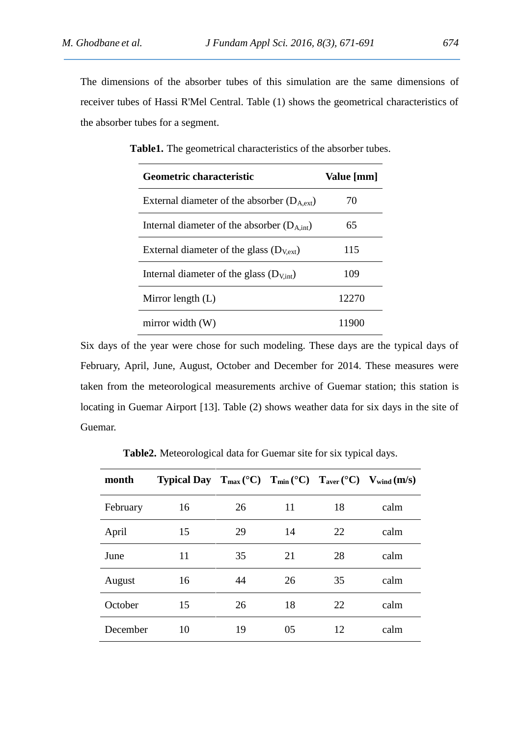The dimensions of the absorber tubes of this simulation are the same dimensions of receiver tubes of Hassi R'Mel Central. Table (1) shows the geometrical characteristics of the absorber tubes for a segment.

| Geometric characteristic                               | Value [mm] |
|--------------------------------------------------------|------------|
| External diameter of the absorber $(D_{A,ext})$        | 70         |
| Internal diameter of the absorber $(D_{A,\text{int}})$ | 65         |
| External diameter of the glass $(D_{Vext})$            | 115        |
| Internal diameter of the glass $(D_{\text{Vint}})$     | 109        |
| Mirror length $(L)$                                    | 12270      |
| mirror width $(W)$                                     | 1 I 90     |

**Table1.** The geometrical characteristics of the absorber tubes.

Six days of the year were chose for such modeling. These days are the typical days of February, April, June, August, October and December for 2014. These measures were taken from the meteorological measurements archive of Guemar station; this station is locating in Guemar Airport [13]. Table (2) shows weather data for six days in the site of Guemar.

**Table2.** Meteorological data for Guemar site for six typical days.

| month    | <b>Typical Day</b> $T_{max} (^{\circ}C)$ $T_{min} (^{\circ}C)$ $T_{aver} (^{\circ}C)$ $V_{wind} (m/s)$ |    |    |    |      |
|----------|--------------------------------------------------------------------------------------------------------|----|----|----|------|
| February | 16                                                                                                     | 26 | 11 | 18 | calm |
| April    | 15                                                                                                     | 29 | 14 | 22 | calm |
| June     | 11                                                                                                     | 35 | 21 | 28 | calm |
| August   | 16                                                                                                     | 44 | 26 | 35 | calm |
| October  | 15                                                                                                     | 26 | 18 | 22 | calm |
| December | 10                                                                                                     | 19 | 05 | 12 | calm |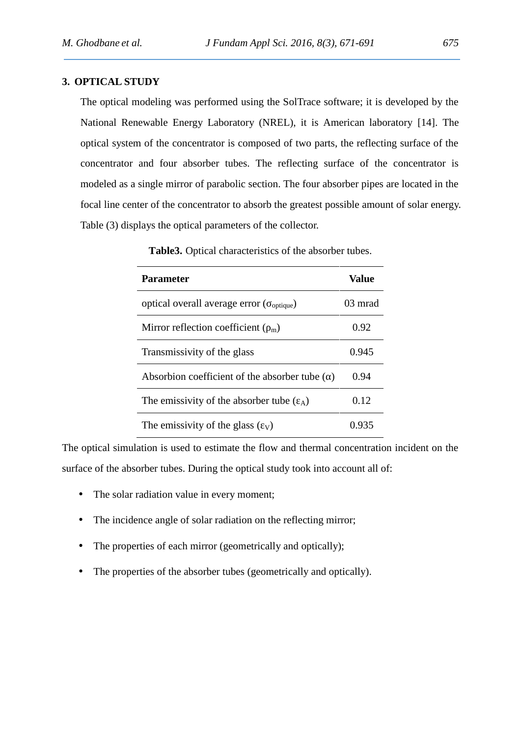## **3. OPTICAL STUDY**

The optical modeling was performed using the SolTrace software; it is developed by the National Renewable Energy Laboratory (NREL), it is American laboratory [14]. The optical system of the concentrator is composed of two parts, the reflecting surface of the concentrator and four absorber tubes. The reflecting surface of the concentrator is modeled as a single mirror of parabolic section. The four absorber pipes are located in the focal line center of the concentrator to absorb the greatest possible amount of solar energy. Table (3) displays the optical parameters of the collector.

| <b>Parameter</b>                                                               | Value   |
|--------------------------------------------------------------------------------|---------|
| optical overall average error ( <sub>optique</sub> )                           | 03 mrad |
| Mirror reflection coefficient $\binom{m}{m}$                                   | 0.92    |
| Transmissivity of the glass                                                    | 0.945   |
| Absorbion coefficient of the absorber tube ()                                  | 0.94    |
| The emissivity of the absorber tube $(\lambda)$                                | 0.12    |
| The emissivity of the glass $\left(\begin{array}{c} \gamma \end{array}\right)$ | 0.935   |

**Table3.** Optical characteristics of the absorber tubes.

The optical simulation is used to estimate the flow and thermal concentration incident on the surface of the absorber tubes. During the optical study took into account all of:

- The solar radiation value in every moment;
- The incidence angle of solar radiation on the reflecting mirror;
- The properties of each mirror (geometrically and optically);
- The properties of the absorber tubes (geometrically and optically).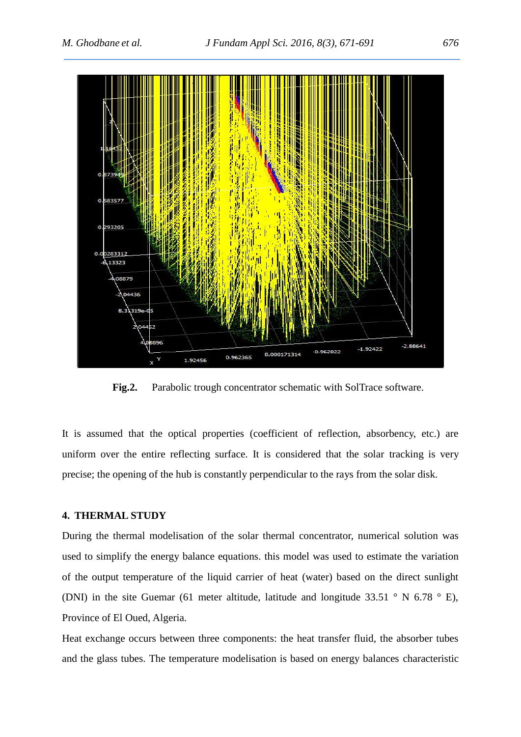

**Fig.2.** Parabolic trough concentrator schematic with SolTrace software.

It is assumed that the optical properties (coefficient of reflection, absorbency, etc.) are uniform over the entire reflecting surface. It is considered that the solar tracking is very precise; the opening of the hub is constantly perpendicular to the rays from the solar disk.

## **4. THERMAL STUDY**

During the thermal modelisation of the solar thermal concentrator, numerical solution was used to simplify the energy balance equations. this model was used to estimate the variation of the output temperature of the liquid carrier of heat (water) based on the direct sunlight (DNI) in the site Guemar (61 meter altitude, latitude and longitude 33.51 ° N 6.78 ° E), Province of El Oued, Algeria.

Heat exchange occurs between three components: the heat transfer fluid, the absorber tubes and the glass tubes. The temperature modelisation is based on energy balances characteristic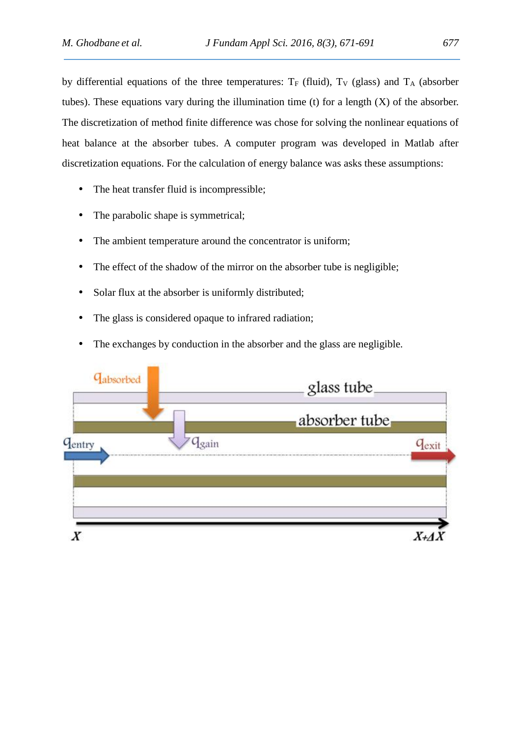by differential equations of the three temperatures:  $T_F$  (fluid),  $T_V$  (glass) and  $T_A$  (absorber tubes). These equations vary during the illumination time (t) for a length  $(X)$  of the absorber. The discretization of method finite difference was chose for solving the nonlinear equations of heat balance at the absorber tubes. A computer program was developed in Matlab after discretization equations. For the calculation of energy balance was asks these assumptions:

- The heat transfer fluid is incompressible;
- The parabolic shape is symmetrical;
- The ambient temperature around the concentrator is uniform;
- The effect of the shadow of the mirror on the absorber tube is negligible;
- Solar flux at the absorber is uniformly distributed;
- The glass is considered opaque to infrared radiation;
- The exchanges by conduction in the absorber and the glass are negligible.

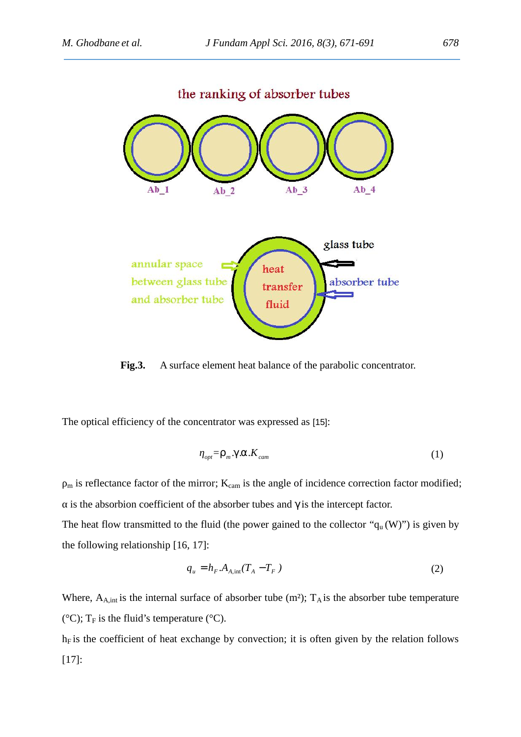

**Fig.3.** A surface element heat balance of the parabolic concentrator.

The optical efficiency of the concentrator was expressed as [15]:

$$
_{opt} = ..._{m} X \cdot \Gamma \cdot K_{cam}
$$
 (1)

 $<sub>m</sub>$  is reflectance factor of the mirror;  $K<sub>cam</sub>$  is the angle of incidence correction factor modified;</sub>

is the absorbion coefficient of the absorber tubes and  $\gamma$  is the intercept factor. The heat flow transmitted to the fluid (the power gained to the collector " $q_u(W)$ ") is given by the following relationship [16, 17]:

$$
q_u = h_F.A_{A,\text{int}}(T_A - T_F) \tag{2}
$$

Where,  $A_{A,int}$  is the internal surface of absorber tube (m<sup>2</sup>);  $T_A$  is the absorber tube temperature ( $^{\circ}$ C); T<sub>F</sub> is the fluid's temperature ( $^{\circ}$ C).

 $h_F$  is the coefficient of heat exchange by convection; it is often given by the relation follows [17]: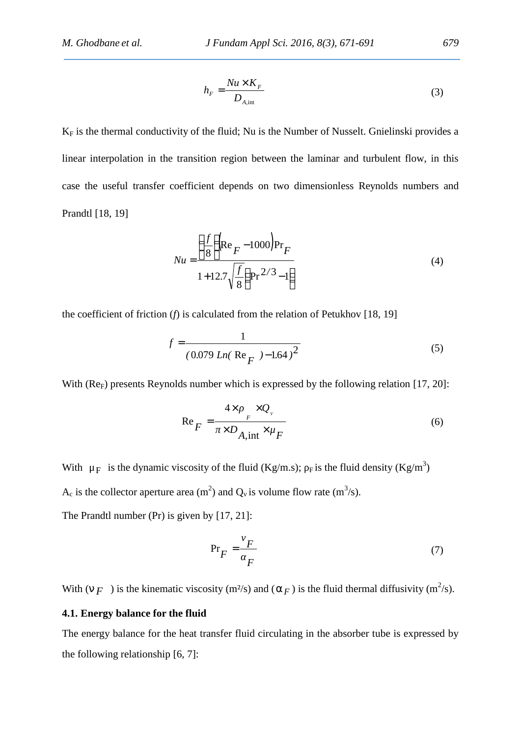$$
h_F = \frac{Nu \times K_F}{D_{A,\text{int}}} \tag{3}
$$

 $K_F$  is the thermal conductivity of the fluid; Nu is the Number of Nusselt. Gnielinski provides a linear interpolation in the transition region between the laminar and turbulent flow, in this case the useful transfer coefficient depends on two dimensionless Reynolds numbers and Prandtl [18, 19]

$$
Nu = \frac{\left(\frac{f}{8}\right)(Re_F - 1000)Pr_F}{1 + 12.7\sqrt{\frac{f}{8}}(Pr^{2/3} - 1)}
$$
(4)

the coefficient of friction (*f*) is calculated from the relation of Petukhov [18, 19]

$$
f = \frac{1}{(0.079 \, \text{Ln}(\, \text{Re}_F \,)^{-1.64})^2} \tag{5}
$$

With (Re<sub>F</sub>) presents Reynolds number which is expressed by the following relation [17, 20]:

$$
\operatorname{Re}_F = \frac{4 \times \cdots \times Q_v}{\times D_{A,\text{int}} \times \mu_F} \tag{6}
$$

With  $\mu_F$  is the dynamic viscosity of the fluid (Kg/m.s); Fis the fluid density (Kg/m<sup>3</sup>)  $A_c$  is the collector aperture area (m<sup>2</sup>) and  $Q_v$  is volume flow rate (m<sup>3</sup>/s). The Prandtl number (Pr) is given by [17, 21]:

$$
Pr_F = \frac{F}{F}
$$
 (7)

With  $(\epsilon_F)$  is the kinematic viscosity (m<sup>2</sup>/s) and ( $\epsilon_F$ ) is the fluid thermal diffusivity (m<sup>2</sup>/s).

## **4.1. Energy balance for the fluid**

The energy balance for the heat transfer fluid circulating in the absorber tube is expressed by the following relationship [6, 7]: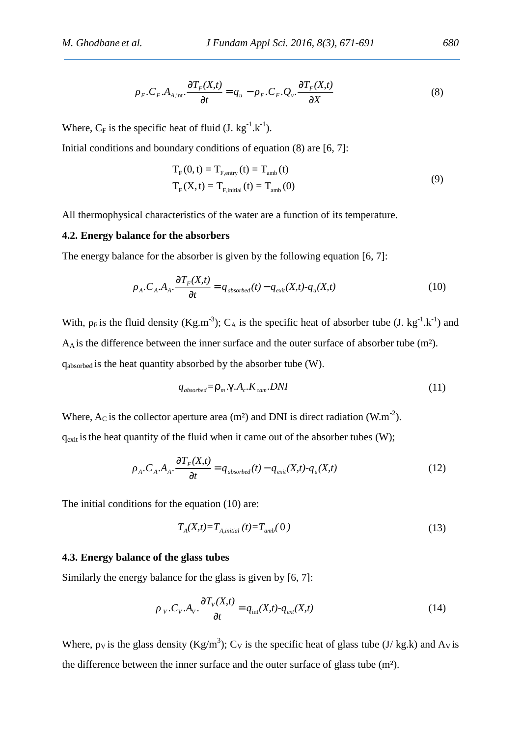$$
{}_{F} \cdot C_{F} \cdot A_{A,\text{int}} \cdot \frac{\partial T_{F}(X,t)}{\partial t} = q_{u} - {}_{F} \cdot C_{F} \cdot Q_{v} \cdot \frac{\partial T_{F}(X,t)}{\partial X}
$$
(8)

Where,  $C_F$  is the specific heat of fluid (J. kg<sup>-1</sup>.k<sup>-1</sup>).

Initial conditions and boundary conditions of equation (8) are [6, 7]:

$$
T_F(0, t) = T_{F, entry}(t) = T_{amb}(t)
$$
  
\n
$$
T_F(X, t) = T_{F, initial}(t) = T_{amb}(0)
$$
\n(9)

All thermophysical characteristics of the water are a function of its temperature.

## **4.2. Energy balance for the absorbers**

The energy balance for the absorber is given by the following equation [6, 7]:

$$
{}_{A} \cdot C_{A} \cdot A_{A} \cdot \frac{\partial T_{F}(X,t)}{\partial t} = q_{\text{absorbed}}(t) - q_{\text{exit}}(X,t) - q_{u}(X,t) \tag{10}
$$

With, F is the fluid density (Kg.m<sup>-3</sup>); C<sub>A</sub> is the specific heat of absorber tube (J. kg<sup>-1</sup>.k<sup>-1</sup>) and A<sup>A</sup> is the difference between the inner surface and the outer surface of absorber tube (m²). qabsorbed is the heat quantity absorbed by the absorber tube (W).

$$
q_{\text{absorbed}} = \dots_m X.A_c.K_{\text{cam}}. DNI
$$
\n(11)

Where,  $A_C$  is the collector aperture area (m<sup>2</sup>) and DNI is direct radiation (W.m<sup>-2</sup>).  $q_{\text{exit}}$  is the heat quantity of the fluid when it came out of the absorber tubes (W);

$$
{}_{A} \cdot C_{A} \cdot A_{A} \cdot \frac{\partial T_{F}(X,t)}{\partial t} = q_{\text{absorbed}}(t) - q_{\text{exit}}(X,t) - q_{\text{u}}(X,t) \tag{12}
$$

The initial conditions for the equation (10) are:

$$
T_A(X,t) = T_{A,initial}(t) = T_{amb}(0)
$$
\n<sup>(13)</sup>

#### **4.3. Energy balance of the glass tubes**

Similarly the energy balance for the glass is given by [6, 7]:

$$
{}_{V} \cdot C_{V} \cdot A_{V} \cdot \frac{\partial T_{V}(X,t)}{\partial t} = q_{int}(X,t) - q_{ext}(X,t)
$$
\n(14)

Where, v is the glass density (Kg/m<sup>3</sup>); C<sub>V</sub> is the specific heat of glass tube (J/ kg.k) and A<sub>V</sub> is the difference between the inner surface and the outer surface of glass tube (m²).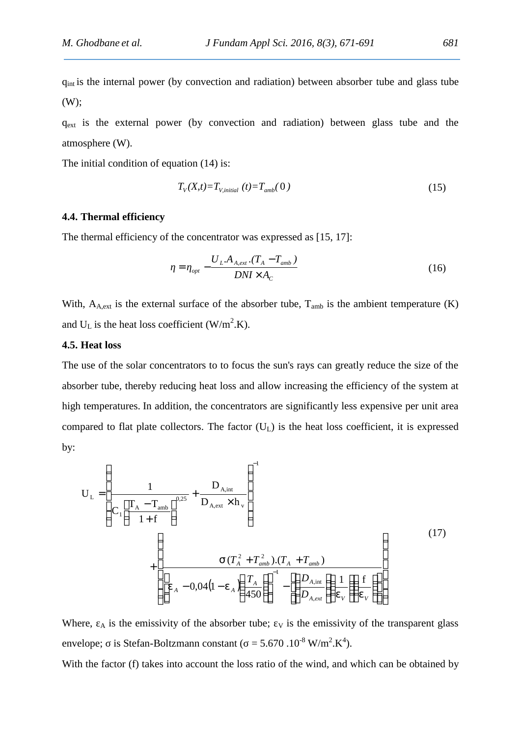qint is the internal power (by convection and radiation) between absorber tube and glass tube (W);

 $q_{ext}$  is the external power (by convection and radiation) between glass tube and the atmosphere (W).

The initial condition of equation  $(14)$  is:

$$
T_V(X,t) = T_{V,initial}(t) = T_{amb}(0)
$$
\n
$$
(15)
$$

## **4.4. Thermal efficiency**

The thermal efficiency of the concentrator was expressed as [15, 17]:

$$
= \frac{U_L.A_{A,ext}.(T_A - T_{amb})}{DNI \times A_C}
$$
\n(16)

With,  $A_{A,ext}$  is the external surface of the absorber tube,  $T_{amb}$  is the ambient temperature (K) and  $U_L$  is the heat loss coefficient (W/m<sup>2</sup>.K).

# **4.5. Heat loss**

The use of the solar concentrators to to focus the sun's rays can greatly reduce the size of the absorber tube, thereby reducing heat loss and allow increasing the efficiency of the system at high temperatures. In addition, the concentrators are significantly less expensive per unit area compared to flat plate collectors. The factor  $(U<sub>L</sub>)$  is the heat loss coefficient, it is expressed by:

$$
U_{L} = \left(\frac{1}{C_{1}\left[\frac{T_{A} - T_{amb}}{1 + f}\right]^{0.25}} + \frac{D_{A,int}}{D_{A,ext} \times h_{v}}\right)^{-1}
$$
  
+ 
$$
\left(\frac{1}{\left[v_{A} - 0.04(1 - v_{A}\left(\frac{T_{A}}{450}\right)\right]^{-1} - \left[\left(\frac{D_{A,int}}{D_{A,ext}}\left(\frac{1}{v_{V}}\right)\right]^{+}\right]}\right)
$$
(17)

Where,  $\overline{A}$  is the emissivity of the absorber tube;  $\overline{V}$  is the emissivity of the transparent glass envelope; is Stefan-Boltzmann constant ( $= 5.670 \cdot 10^{-8}$  W/m<sup>2</sup>.K<sup>4</sup>).

With the factor (f) takes into account the loss ratio of the wind, and which can be obtained by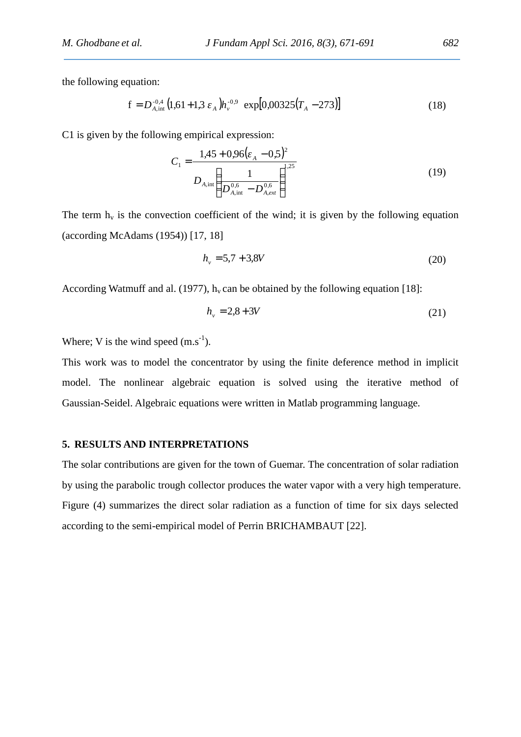the following equation:

$$
f = D_{A,\text{int}}^{-0.4} \left( 1.61 + 1.3 \right) h_{\nu}^{-0.9} \exp[0.00325(T_A - 273)] \tag{18}
$$

C1 is given by the following empirical expression:

$$
C_1 = \frac{1,45 + 0,96\left(\frac{1}{A} - 0.5\right)^2}{D_{A,\text{int}}} \left(\frac{1}{D_{A,\text{int}}^{0.6} - D_{A,ext}}\right)^{1.25}
$$
(19)

The term  $h_y$  is the convection coefficient of the wind; it is given by the following equation (according McAdams (1954)) [17, 18]

$$
h_v = 5.7 + 3.8V \tag{20}
$$

According Watmuff and al. (1977),  $h_v$  can be obtained by the following equation [18]:

$$
h_v = 2.8 + 3V \tag{21}
$$

Where; V is the wind speed  $(m.s^{-1})$ .

This work was to model the concentrator by using the finite deference method in implicit model. The nonlinear algebraic equation is solved using the iterative method of Gaussian-Seidel. Algebraic equations were written in Matlab programming language.

#### **5. RESULTS AND INTERPRETATIONS**

The solar contributions are given for the town of Guemar. The concentration of solar radiation by using the parabolic trough collector produces the water vapor with a very high temperature. Figure (4) summarizes the direct solar radiation as a function of time for six days selected according to the semi-empirical model of Perrin BRICHAMBAUT [22].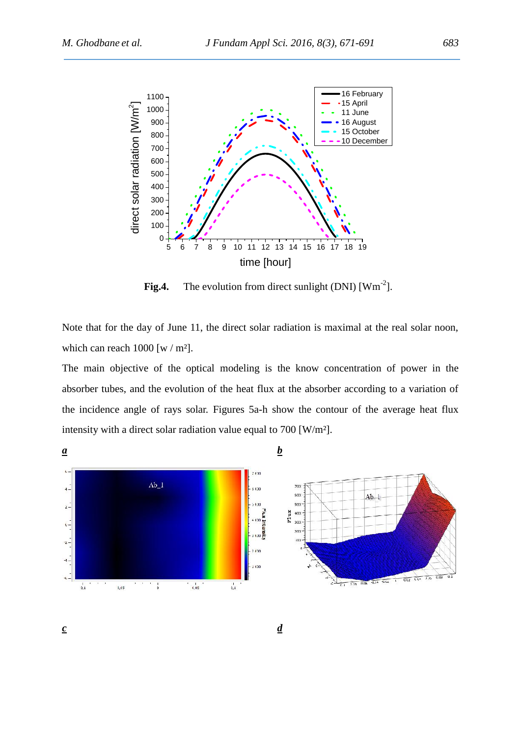

**Fig.4.** The evolution from direct sunlight  $(DNI)$   $[Wm^{-2}]$ .

Note that for the day of June 11, the direct solar radiation is maximal at the real solar noon, which can reach  $1000$  [w / m<sup>2</sup>].

The main objective of the optical modeling is the know concentration of power in the absorber tubes, and the evolution of the heat flux at the absorber according to a variation of the incidence angle of rays solar. Figures 5a-h show the contour of the average heat flux intensity with a direct solar radiation value equal to 700 [W/m²].

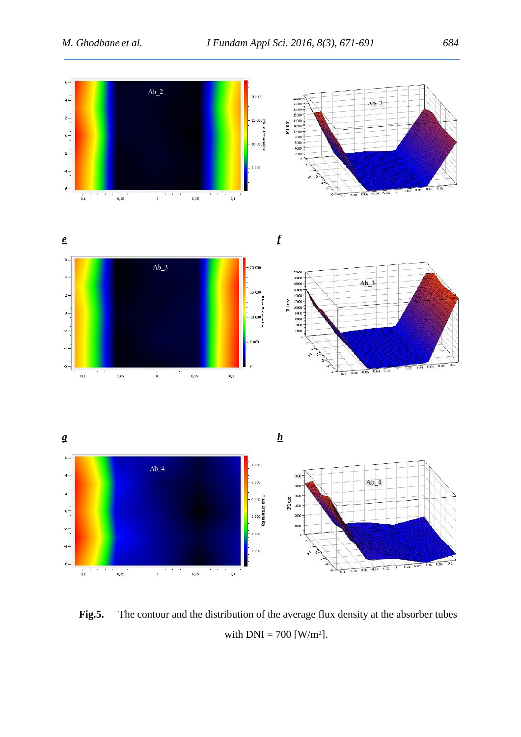

**Fig.5.** The contour and the distribution of the average flux density at the absorber tubes with  $DNI = 700$  [W/m<sup>2</sup>].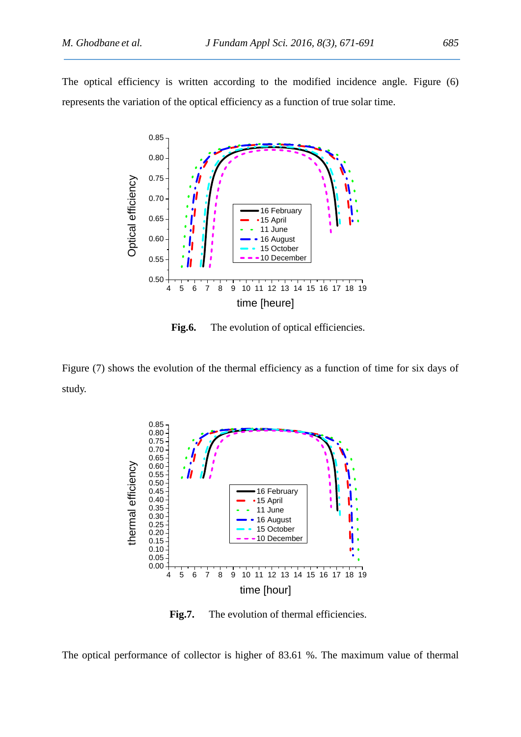The optical efficiency is written according to the modified incidence angle. Figure (6) represents the variation of the optical efficiency as a function of true solar time.



Fig.6. The evolution of optical efficiencies.

Figure (7) shows the evolution of the thermal efficiency as a function of time for six days of study.



Fig.7. The evolution of thermal efficiencies.

The optical performance of collector is higher of 83.61 %. The maximum value of thermal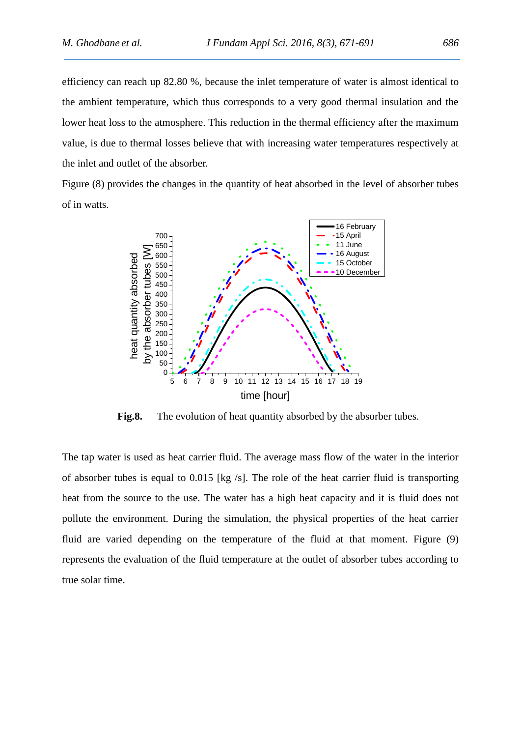efficiency can reach up 82.80 %, because the inlet temperature of water is almost identical to the ambient temperature, which thus corresponds to a very good thermal insulation and the lower heat loss to the atmosphere. This reduction in the thermal efficiency after the maximum value, is due to thermal losses believe that with increasing water temperatures respectively at the inlet and outlet of the absorber.

Figure (8) provides the changes in the quantity of heat absorbed in the level of absorber tubes of in watts.



**Fig.8.** The evolution of heat quantity absorbed by the absorber tubes.

The tap water is used as heat carrier fluid. The average mass flow of the water in the interior of absorber tubes is equal to 0.015 [kg /s]. The role of the heat carrier fluid is transporting heat from the source to the use. The water has a high heat capacity and it is fluid does not pollute the environment. During the simulation, the physical properties of the heat carrier fluid are varied depending on the temperature of the fluid at that moment. Figure (9) represents the evaluation of the fluid temperature at the outlet of absorber tubes according to true solar time.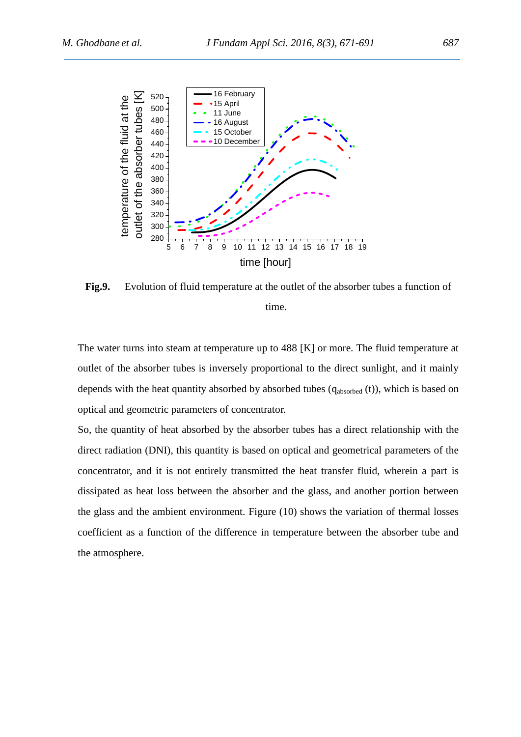

**Fig.9.** Evolution of fluid temperature at the outlet of the absorber tubes a function of time.

The water turns into steam at temperature up to 488 [K] or more. The fluid temperature at outlet of the absorber tubes is inversely proportional to the direct sunlight, and it mainly depends with the heat quantity absorbed by absorbed tubes  $(q_{absorbed} (t))$ , which is based on optical and geometric parameters of concentrator.

So, the quantity of heat absorbed by the absorber tubes has a direct relationship with the direct radiation (DNI), this quantity is based on optical and geometrical parameters of the concentrator, and it is not entirely transmitted the heat transfer fluid, wherein a part is dissipated as heat loss between the absorber and the glass, and another portion between the glass and the ambient environment. Figure (10) shows the variation of thermal losses coefficient as a function of the difference in temperature between the absorber tube and the atmosphere.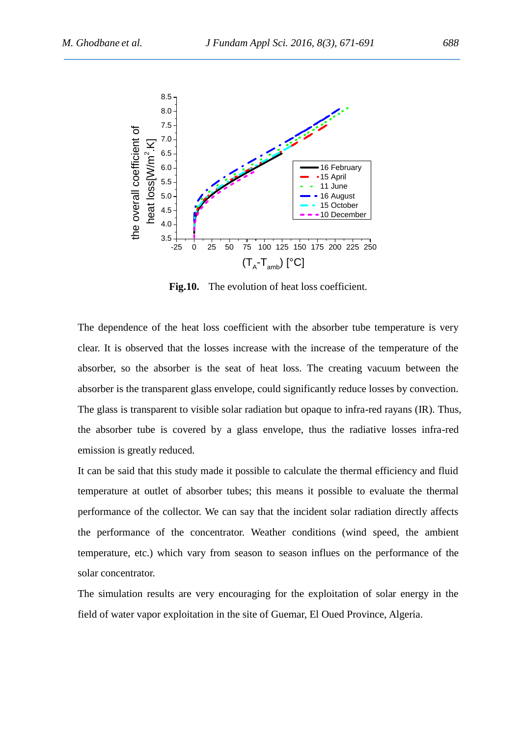

Fig.10. The evolution of heat loss coefficient.

The dependence of the heat loss coefficient with the absorber tube temperature is very clear. It is observed that the losses increase with the increase of the temperature of the absorber, so the absorber is the seat of heat loss. The creating vacuum between the absorber is the transparent glass envelope, could significantly reduce losses by convection. The glass is transparent to visible solar radiation but opaque to infra-red rayans (IR). Thus, the absorber tube is covered by a glass envelope, thus the radiative losses infra-red emission is greatly reduced.

It can be said that this study made it possible to calculate the thermal efficiency and fluid temperature at outlet of absorber tubes; this means it possible to evaluate the thermal performance of the collector. We can say that the incident solar radiation directly affects the performance of the concentrator. Weather conditions (wind speed, the ambient temperature, etc.) which vary from season to season influes on the performance of the solar concentrator.

The simulation results are very encouraging for the exploitation of solar energy in the field of water vapor exploitation in the site of Guemar, El Oued Province, Algeria.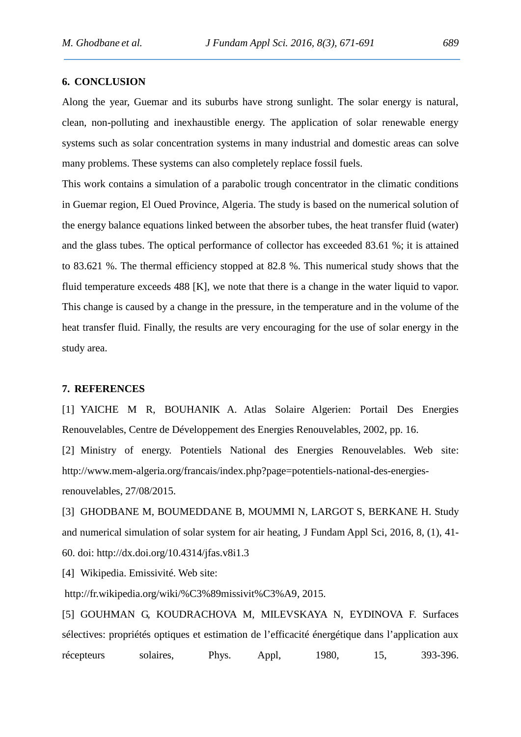## **6. CONCLUSION**

Along the year, Guemar and its suburbs have strong sunlight. The solar energy is natural, clean, non-polluting and inexhaustible energy. The application of solar renewable energy systems such as solar concentration systems in many industrial and domestic areas can solve many problems. These systems can also completely replace fossil fuels.

This work contains a simulation of a parabolic trough concentrator in the climatic conditions in Guemar region, El Oued Province, Algeria. The study is based on the numerical solution of the energy balance equations linked between the absorber tubes, the heat transfer fluid (water) and the glass tubes. The optical performance of collector has exceeded 83.61 %; it is attained to 83.621 %. The thermal efficiency stopped at 82.8 %. This numerical study shows that the fluid temperature exceeds 488 [K], we note that there is a change in the water liquid to vapor. This change is caused by a change in the pressure, in the temperature and in the volume of the heat transfer fluid. Finally, the results are very encouraging for the use of solar energy in the study area.

#### **7. REFERENCES**

[1] YAICHE M R, BOUHANIK A. Atlas Solaire Algerien: Portail Des Energies Renouvelables, Centre de Développement des Energies Renouvelables, 2002, pp. 16.

[2] Ministry of energy. Potentiels National des Energies Renouvelables. Web site: http://www.mem-algeria.org/francais/index.php?page=potentiels-national-des-energiesrenouvelables, 27/08/2015.

[3] GHODBANE M, BOUMEDDANE B, MOUMMI N, LARGOT S, BERKANE H. Study and numerical simulation of solar system for air heating, J Fundam Appl Sci, 2016, 8, (1), 41- 60. doi: http://dx.doi.org/10.4314/jfas.v8i1.3

[4] Wikipedia. Emissivité. Web site:

http://fr.wikipedia.org/wiki/%C3%89missivit%C3%A9, 2015.

[5] GOUHMAN G, KOUDRACHOVA M, MILEVSKAYA N, EYDINOVA F. Surfaces sélectives: propriétés optiques et estimation de l'efficacité énergétique dans l'application aux récepteurs solaires, Phys. Appl, 1980, 15, 393-396.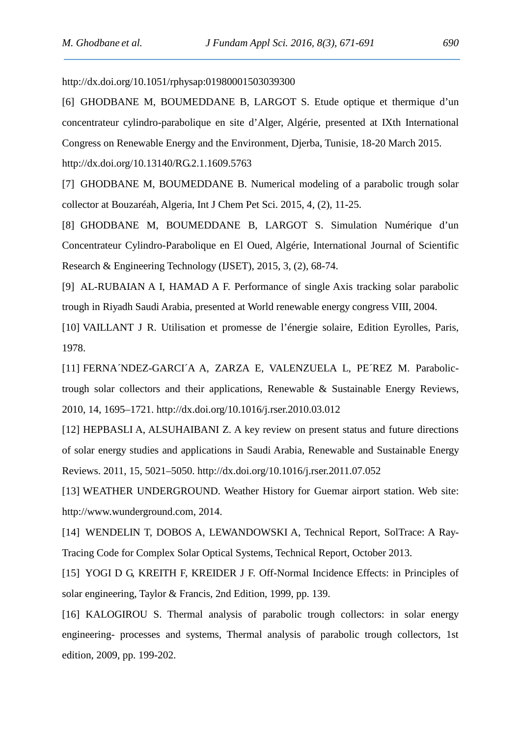http://dx.doi.org/10.1051/rphysap:01980001503039300

[6] GHODBANE M, BOUMEDDANE B, LARGOT S. Etude optique et thermique d'un concentrateur cylindro-parabolique en site d'Alger, Algérie, presented at IXth International Congress on Renewable Energy and the Environment, Djerba, Tunisie, 18-20 March 2015.

http://dx.doi.org/10.13140/RG.2.1.1609.5763

[7] GHODBANE M, BOUMEDDANE B. Numerical modeling of a parabolic trough solar collector at Bouzaréah, Algeria, Int J Chem Pet Sci. 2015, 4, (2), 11-25.

[8] GHODBANE M, BOUMEDDANE B, LARGOT S. Simulation Numérique d'un Concentrateur Cylindro-Parabolique en El Oued, Algérie, International Journal of Scientific Research & Engineering Technology (IJSET), 2015, 3, (2), 68-74.

[9] AL-RUBAIAN A I, HAMAD A F. Performance of single Axis tracking solar parabolic trough in Riyadh Saudi Arabia, presented at World renewable energy congress VIII, 2004.

[10] VAILLANT J R. Utilisation et promesse de l'énergie solaire, Edition Eyrolles, Paris, 1978.

[11] FERNA´NDEZ-GARCI´A A, ZARZA E, VALENZUELA L, PE´REZ M. Parabolictrough solar collectors and their applications, Renewable & Sustainable Energy Reviews, 2010, 14, 1695–1721. http://dx.doi.org/10.1016/j.rser.2010.03.012

[12] HEPBASLI A, ALSUHAIBANI Z. A key review on present status and future directions of solar energy studies and applications in Saudi Arabia, Renewable and Sustainable Energy Reviews. 2011, 15, 5021–5050. http://dx.doi.org/10.1016/j.rser.2011.07.052

[13] WEATHER UNDERGROUND. Weather History for Guemar airport station. Web site: http://www.wunderground.com, 2014.

[14] WENDELIN T, DOBOS A, LEWANDOWSKI A, Technical Report, SolTrace: A Ray- Tracing Code for Complex Solar Optical Systems, Technical Report, October 2013.

[15] YOGI D G, KREITH F, KREIDER J F. Off-Normal Incidence Effects: in Principles of solar engineering, Taylor & Francis, 2nd Edition, 1999, pp. 139.

[16] KALOGIROU S. Thermal analysis of parabolic trough collectors: in solar energy engineering- processes and systems, Thermal analysis of parabolic trough collectors, 1st edition, 2009, pp. 199-202.